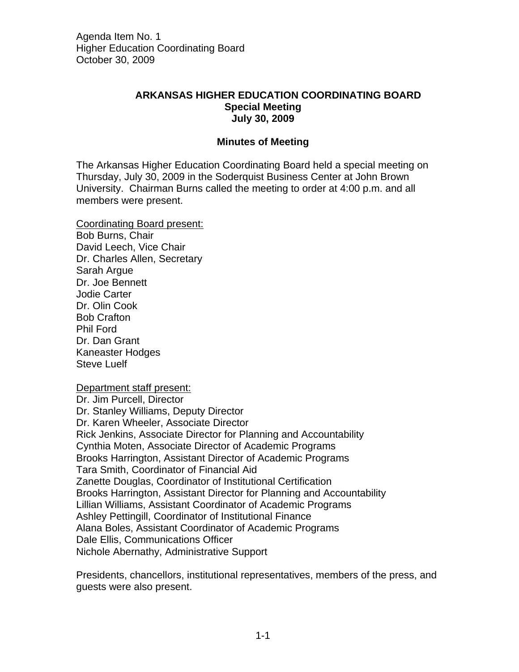## **ARKANSAS HIGHER EDUCATION COORDINATING BOARD Special Meeting July 30, 2009**

## **Minutes of Meeting**

The Arkansas Higher Education Coordinating Board held a special meeting on Thursday, July 30, 2009 in the Soderquist Business Center at John Brown University. Chairman Burns called the meeting to order at 4:00 p.m. and all members were present.

Coordinating Board present: Bob Burns, Chair David Leech, Vice Chair Dr. Charles Allen, Secretary Sarah Argue Dr. Joe Bennett Jodie Carter Dr. Olin Cook Bob Crafton Phil Ford Dr. Dan Grant Kaneaster Hodges Steve Luelf

Department staff present:

Dr. Jim Purcell, Director Dr. Stanley Williams, Deputy Director Dr. Karen Wheeler, Associate Director Rick Jenkins, Associate Director for Planning and Accountability Cynthia Moten, Associate Director of Academic Programs Brooks Harrington, Assistant Director of Academic Programs Tara Smith, Coordinator of Financial Aid Zanette Douglas, Coordinator of Institutional Certification Brooks Harrington, Assistant Director for Planning and Accountability Lillian Williams, Assistant Coordinator of Academic Programs Ashley Pettingill, Coordinator of Institutional Finance Alana Boles, Assistant Coordinator of Academic Programs Dale Ellis, Communications Officer Nichole Abernathy, Administrative Support

Presidents, chancellors, institutional representatives, members of the press, and guests were also present.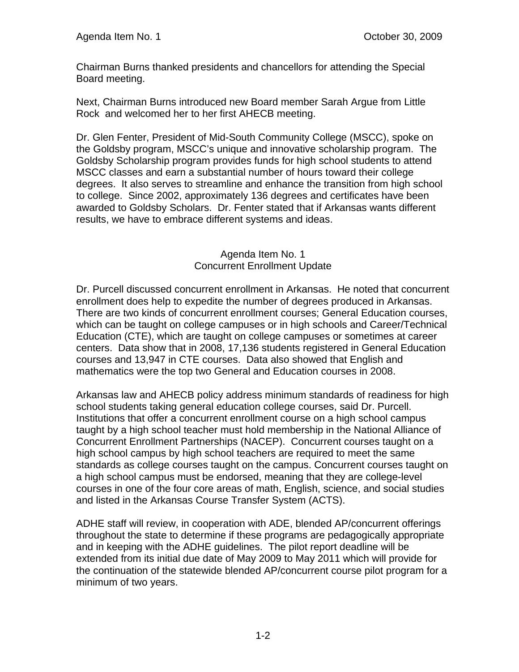Chairman Burns thanked presidents and chancellors for attending the Special Board meeting.

Next, Chairman Burns introduced new Board member Sarah Argue from Little Rock and welcomed her to her first AHECB meeting.

Dr. Glen Fenter, President of Mid-South Community College (MSCC), spoke on the Goldsby program, MSCC's unique and innovative scholarship program. The Goldsby Scholarship program provides funds for high school students to attend MSCC classes and earn a substantial number of hours toward their college degrees. It also serves to streamline and enhance the transition from high school to college. Since 2002, approximately 136 degrees and certificates have been awarded to Goldsby Scholars. Dr. Fenter stated that if Arkansas wants different results, we have to embrace different systems and ideas.

## Agenda Item No. 1 Concurrent Enrollment Update

Dr. Purcell discussed concurrent enrollment in Arkansas. He noted that concurrent enrollment does help to expedite the number of degrees produced in Arkansas. There are two kinds of concurrent enrollment courses; General Education courses, which can be taught on college campuses or in high schools and Career/Technical Education (CTE), which are taught on college campuses or sometimes at career centers. Data show that in 2008, 17,136 students registered in General Education courses and 13,947 in CTE courses. Data also showed that English and mathematics were the top two General and Education courses in 2008.

Arkansas law and AHECB policy address minimum standards of readiness for high school students taking general education college courses, said Dr. Purcell. Institutions that offer a concurrent enrollment course on a high school campus taught by a high school teacher must hold membership in the National Alliance of Concurrent Enrollment Partnerships (NACEP). Concurrent courses taught on a high school campus by high school teachers are required to meet the same standards as college courses taught on the campus. Concurrent courses taught on a high school campus must be endorsed, meaning that they are college-level courses in one of the four core areas of math, English, science, and social studies and listed in the Arkansas Course Transfer System (ACTS).

ADHE staff will review, in cooperation with ADE, blended AP/concurrent offerings throughout the state to determine if these programs are pedagogically appropriate and in keeping with the ADHE guidelines. The pilot report deadline will be extended from its initial due date of May 2009 to May 2011 which will provide for the continuation of the statewide blended AP/concurrent course pilot program for a minimum of two years.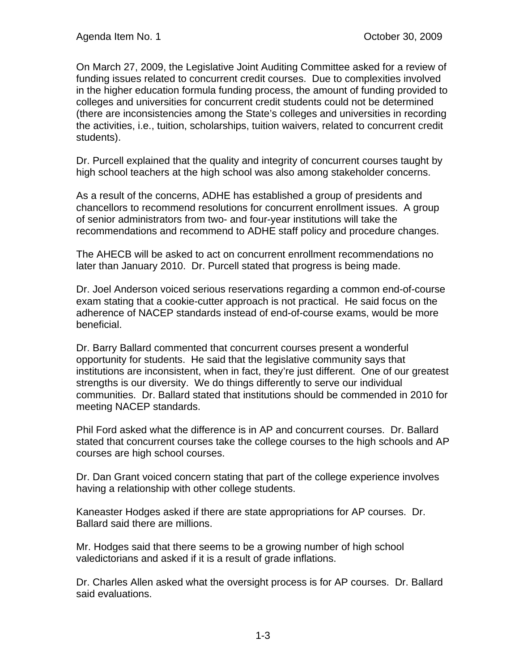On March 27, 2009, the Legislative Joint Auditing Committee asked for a review of funding issues related to concurrent credit courses. Due to complexities involved in the higher education formula funding process, the amount of funding provided to colleges and universities for concurrent credit students could not be determined (there are inconsistencies among the State's colleges and universities in recording the activities, i.e., tuition, scholarships, tuition waivers, related to concurrent credit students).

Dr. Purcell explained that the quality and integrity of concurrent courses taught by high school teachers at the high school was also among stakeholder concerns.

As a result of the concerns, ADHE has established a group of presidents and chancellors to recommend resolutions for concurrent enrollment issues. A group of senior administrators from two- and four-year institutions will take the recommendations and recommend to ADHE staff policy and procedure changes.

The AHECB will be asked to act on concurrent enrollment recommendations no later than January 2010. Dr. Purcell stated that progress is being made.

Dr. Joel Anderson voiced serious reservations regarding a common end-of-course exam stating that a cookie-cutter approach is not practical. He said focus on the adherence of NACEP standards instead of end-of-course exams, would be more beneficial.

Dr. Barry Ballard commented that concurrent courses present a wonderful opportunity for students. He said that the legislative community says that institutions are inconsistent, when in fact, they're just different. One of our greatest strengths is our diversity. We do things differently to serve our individual communities. Dr. Ballard stated that institutions should be commended in 2010 for meeting NACEP standards.

Phil Ford asked what the difference is in AP and concurrent courses. Dr. Ballard stated that concurrent courses take the college courses to the high schools and AP courses are high school courses.

Dr. Dan Grant voiced concern stating that part of the college experience involves having a relationship with other college students.

Kaneaster Hodges asked if there are state appropriations for AP courses. Dr. Ballard said there are millions.

Mr. Hodges said that there seems to be a growing number of high school valedictorians and asked if it is a result of grade inflations.

Dr. Charles Allen asked what the oversight process is for AP courses. Dr. Ballard said evaluations.